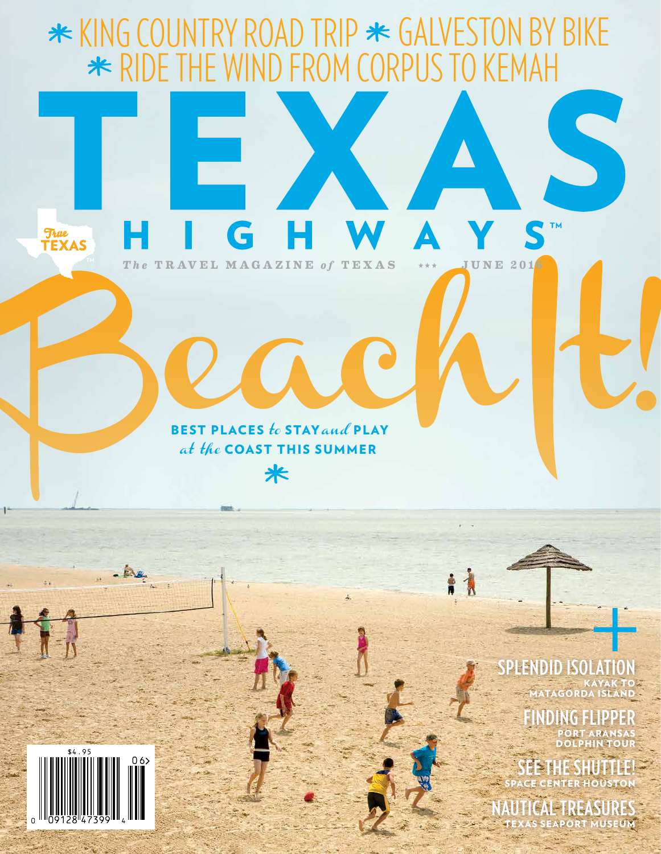

 $06$ 

KAYAK TO **TAGORD** 

**IDING FLIP** PORT ARANSAS DOLPHIN TOUR

**SEE THE SHUTTLE!** SPACE CENTER HOUSTON

**NAUTICAL TREASURES** TEXAS SEAPORT MUSEUM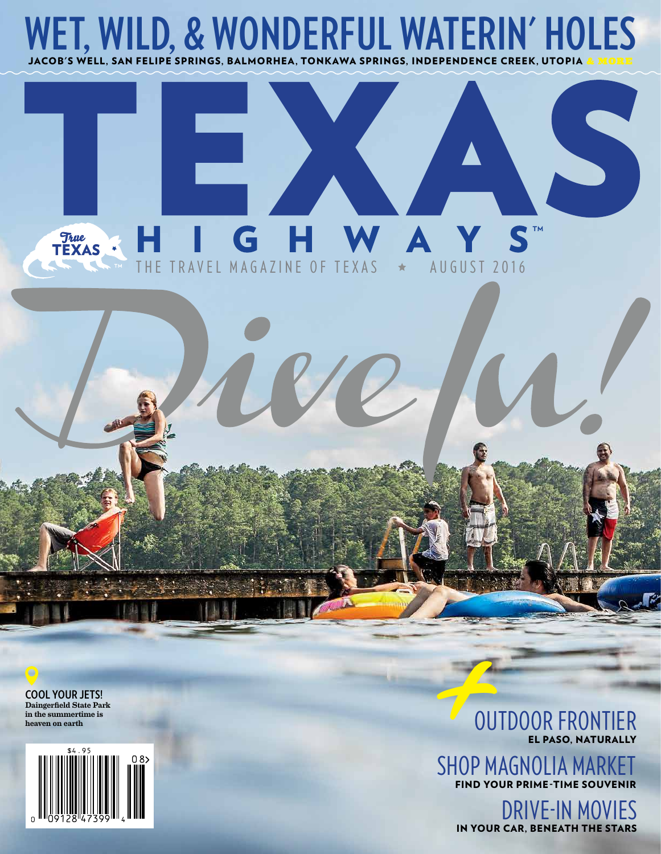

## S **True**<br>TEXAS  $\blacktriangle$ TRAVEL MAGAZINE OF TEXAS AUGUST 2016

**COOL YOUR JETS!** Daingerfield State Park in the summertime is heaven on earth



**EL PASO, NATUR** 

OUTDOOR FRONTIER SHOP MAGNOLIA MA FIND YOUR PRIME-TIME SO

DRIVE-IN MOVIES IN YOUR CAR, BENEATH THE STARS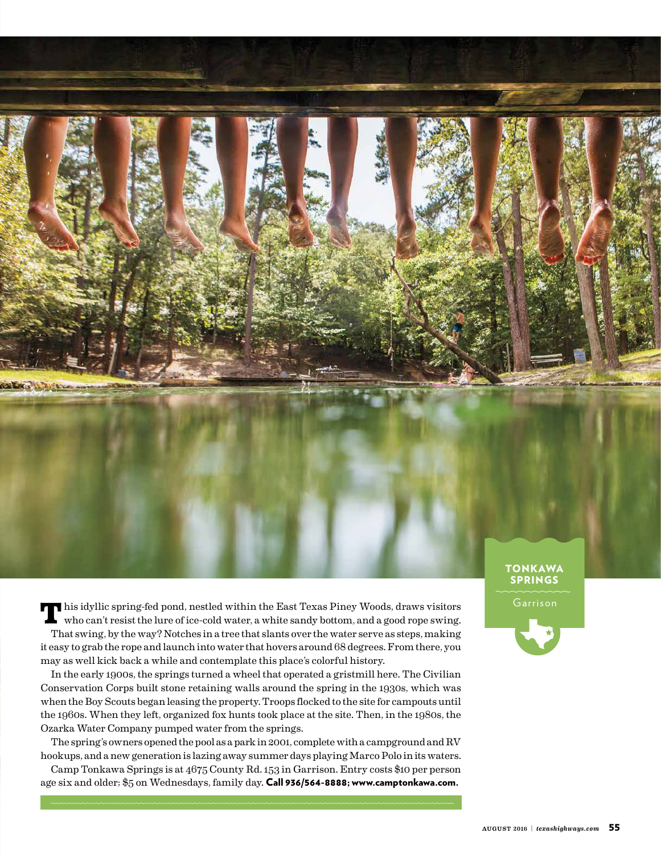**T**his idyllic spring-fed pond, nestled within the East Texas Piney Woods, draws visitors who can't resist the lure of ice-cold water, a white sandy bottom, and a good rope swing. That swing, by the way? Notches in a tree that slants over the water serve as steps, making it easy to grab the rope and launch into water that hovers around 68 degrees. From there, you may as well kick back a while and contemplate this place's colorful history.

In the early 1900s, the springs turned a wheel that operated a gristmill here. The Civilian Conservation Corps built stone retaining walls around the spring in the 1930s, which was when the Boy Scouts began leasing the property. Troops flocked to the site for campouts until the 1960s. When they left, organized fox hunts took place at the site. Then, in the 1980s, the Ozarka Water Company pumped water from the springs.

The spring's owners opened the pool as a park in 2001, complete with a campground and RV hookups, and a new generation is lazing away summer days playing Marco Polo in its waters.

Camp Tonkawa Springs is at 4675 County Rd. 153 in Garrison. Entry costs \$10 per person age six and older; \$5 on Wednesdays, family day. Call 936/564-8888; www.camptonkawa.com.

## **TONKAWA** SPRINGS